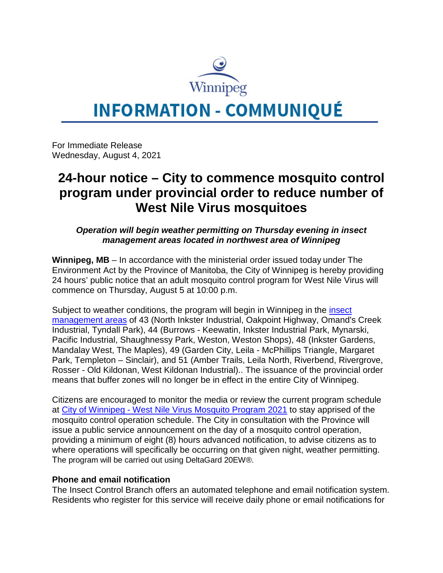

## **INFORMATION - COMMUNIQUÉ**

For Immediate Release Wednesday, August 4, 2021

## **24-hour notice – City to commence mosquito control program under provincial order to reduce number of West Nile Virus mosquitoes**

*Operation will begin weather permitting on Thursday evening in insect management areas located in northwest area of Winnipeg*

**Winnipeg, MB** – In accordance with the ministerial order issued today under The Environment Act by the Province of Manitoba, the City of Winnipeg is hereby providing 24 hours' public notice that an adult mosquito control program for West Nile Virus will commence on Thursday, August 5 at 10:00 p.m.

Subject to weather conditions, the program will begin in Winnipeg in the *insect* [management areas](https://winnipeg.ca/publicworks/insectcontrol/mosquitoes/insectmanagement.stm) of 43 (North Inkster Industrial, Oakpoint Highway, Omand's Creek Industrial, Tyndall Park), 44 (Burrows - Keewatin, Inkster Industrial Park, Mynarski, Pacific Industrial, Shaughnessy Park, Weston, Weston Shops), 48 (Inkster Gardens, Mandalay West, The Maples), 49 (Garden City, Leila - McPhillips Triangle, Margaret Park, Templeton – Sinclair), and 51 (Amber Trails, Leila North, Riverbend, Rivergrove, Rosser - Old Kildonan, West Kildonan Industrial).. The issuance of the provincial order means that buffer zones will no longer be in effect in the entire City of Winnipeg.

Citizens are encouraged to monitor the media or review the current program schedule at City of Winnipeg - [West Nile Virus Mosquito Program 2021](https://www.winnipeg.ca/publicworks/insectControl/mosquitoes/WNVfogging.stm) to stay apprised of the mosquito control operation schedule. The City in consultation with the Province will issue a public service announcement on the day of a mosquito control operation, providing a minimum of eight (8) hours advanced notification, to advise citizens as to where operations will specifically be occurring on that given night, weather permitting. The program will be carried out using DeltaGard 20EW®.

## **Phone and email notification**

The Insect Control Branch offers an automated telephone and email notification system. Residents who register for this service will receive daily phone or email notifications for